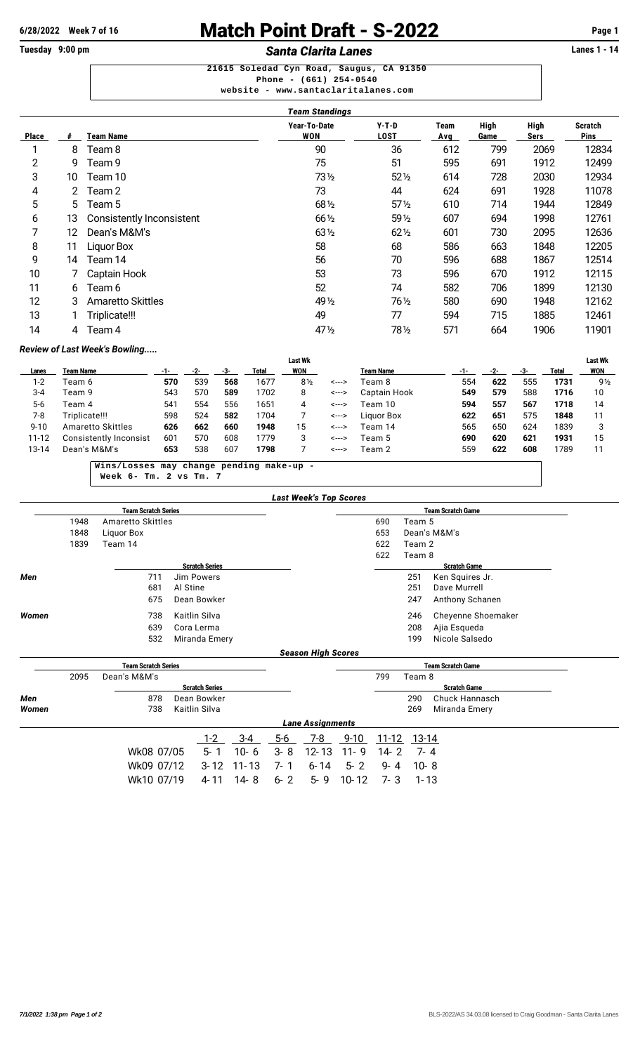## **6/28/2022** Week 7 of 16 **Match Point Draft - S-2022** Page 1<br> **Fuesday** 9:00 pm<br> **Santa Clarita Lanes** Santa Claris Clarica Posity Banes 1 - 14

**Santa Clarita Lanes 21615 Soledad Cyn Road, Saugus, CA 91350**

**Phone - (661) 254-0540 website - <www.santaclaritalanes.com>**

| Team Standings |    |                           |                     |                        |             |              |              |                        |  |  |  |  |
|----------------|----|---------------------------|---------------------|------------------------|-------------|--------------|--------------|------------------------|--|--|--|--|
| <b>Place</b>   | #  | <b>Team Name</b>          | Year-To-Date<br>WON | $Y-T-D$<br><b>LOST</b> | Team<br>Avg | High<br>Game | High<br>Sers | <b>Scratch</b><br>Pins |  |  |  |  |
|                | 8  | Team 8                    | 90                  | 36                     | 612         | 799          | 2069         | 12834                  |  |  |  |  |
| 2              | 9  | Team 9                    | 75                  | 51                     | 595         | 691          | 1912         | 12499                  |  |  |  |  |
| 3              | 10 | Team 10                   | $73\frac{1}{2}$     | $52\frac{1}{2}$        | 614         | 728          | 2030         | 12934                  |  |  |  |  |
| 4              | 2  | Team 2                    | 73                  | 44                     | 624         | 691          | 1928         | 11078                  |  |  |  |  |
| 5              | 5  | Team 5                    | 681/2               | $57\%$                 | 610         | 714          | 1944         | 12849                  |  |  |  |  |
| 6              | 13 | Consistently Inconsistent | 661/2               | $59\%$                 | 607         | 694          | 1998         | 12761                  |  |  |  |  |
|                | 12 | Dean's M&M's              | 631/2               | $62\frac{1}{2}$        | 601         | 730          | 2095         | 12636                  |  |  |  |  |
| 8              | 11 | Liquor Box                | 58                  | 68                     | 586         | 663          | 1848         | 12205                  |  |  |  |  |
| 9              | 14 | Team 14                   | 56                  | 70                     | 596         | 688          | 1867         | 12514                  |  |  |  |  |
| 10             |    | Captain Hook              | 53                  | 73                     | 596         | 670          | 1912         | 12115                  |  |  |  |  |
| 11             | 6  | Team 6                    | 52                  | 74                     | 582         | 706          | 1899         | 12130                  |  |  |  |  |
| 12             | 3  | Amaretto Skittles         | 49 1/2              | 761/2                  | 580         | 690          | 1948         | 12162                  |  |  |  |  |
| 13             |    | Triplicate!!!             | 49                  | 77                     | 594         | 715          | 1885         | 12461                  |  |  |  |  |
| 14             | 4  | Team 4                    | 47 $\frac{1}{2}$    | 781/2                  | 571         | 664          | 1906         | 11901                  |  |  |  |  |

### *Review of Last Week's Bowling.....*

|           |                                        |     |     |     |       | <b>Last Wk</b> |       |                  |     |     |     |       | <b>Last Wk</b> |
|-----------|----------------------------------------|-----|-----|-----|-------|----------------|-------|------------------|-----|-----|-----|-------|----------------|
| Lanes     | Team Name                              |     |     | -3- | Total | WON            |       | <b>Team Name</b> | -1- | -2- | -3- | Total | WON            |
| 1-2       | Team 6                                 | 570 | 539 | 568 | 1677  | $8\frac{1}{2}$ | <---> | Геат 8           | 554 | 622 | 555 | 1731  | $9\frac{1}{2}$ |
| $3 - 4$   | Team 9                                 | 543 | 570 | 589 | 1702  | 8              | <---> | Captain Hook     | 549 | 579 | 588 | 1716  | 10             |
| $5-6$     | Team 4                                 | 541 | 554 | 556 | 1651  | 4              | <---> | Team 10          | 594 | 557 | 567 | 1718  | 14             |
| 7-8       | Triplicate!!!                          | 598 | 524 | 582 | 1704  |                | <---> | Liguor Box       | 622 | 651 | 575 | 1848  | 11             |
| $9 - 10$  | <b>Amaretto Skittles</b>               | 626 | 662 | 660 | 1948  | 15             | <---> | Team 14          | 565 | 650 | 624 | 1839  |                |
| $11 - 12$ | Consistently Inconsist                 | 601 | 570 | 608 | 1779  |                | <---> | Team 5           | 690 | 620 | 621 | 1931  | 15             |
| 13-14     | Dean's M&M's                           | 653 | 538 | 607 | 1798  |                | <---> | Team 2           | 559 | 622 | 608 | 1789  | 11             |
|           |                                        |     |     |     |       |                |       |                  |     |     |     |       |                |
|           | Wins/Losses may change pending make-up |     |     |     |       |                |       |                  |     |     |     |       |                |

 **Week 6- Tm. 2 vs Tm. 7**

|       |      |                            |                       | <b>Last Week's Top Scores</b> |                          |        |                     |  |  |  |  |
|-------|------|----------------------------|-----------------------|-------------------------------|--------------------------|--------|---------------------|--|--|--|--|
|       |      | <b>Team Scratch Series</b> |                       |                               | <b>Team Scratch Game</b> |        |                     |  |  |  |  |
|       | 1948 | Amaretto Skittles          |                       |                               | 690                      | Team 5 |                     |  |  |  |  |
|       | 1848 | Liguor Box                 |                       |                               | 653                      |        | Dean's M&M's        |  |  |  |  |
|       | 1839 | Team 14                    |                       |                               | 622                      | Team 2 |                     |  |  |  |  |
|       |      |                            |                       |                               | 622                      | Team 8 |                     |  |  |  |  |
|       |      |                            | <b>Scratch Series</b> |                               |                          |        | <b>Scratch Game</b> |  |  |  |  |
| Men   |      | 711                        | Jim Powers            |                               |                          | 251    | Ken Squires Jr.     |  |  |  |  |
|       |      | 681                        | Al Stine              |                               |                          | 251    | Dave Murrell        |  |  |  |  |
|       |      | 675                        | Dean Bowker           |                               |                          | 247    | Anthony Schanen     |  |  |  |  |
| Women |      | 738                        | Kaitlin Silva         |                               |                          | 246    | Cheyenne Shoemaker  |  |  |  |  |
|       |      | 639                        | Cora Lerma            |                               |                          | 208    | Ajia Esqueda        |  |  |  |  |
|       |      | 532                        | Miranda Emery         |                               |                          | 199    | Nicole Salsedo      |  |  |  |  |
|       |      |                            |                       | <b>Season High Scores</b>     |                          |        |                     |  |  |  |  |

|       |      |                            |                       |         | ---------------------   |          |       |                          |  |
|-------|------|----------------------------|-----------------------|---------|-------------------------|----------|-------|--------------------------|--|
|       |      | <b>Team Scratch Series</b> |                       |         |                         |          |       | <b>Team Scratch Game</b> |  |
|       | 2095 | Dean's M&M's               |                       |         |                         |          | 799   | Team 8                   |  |
|       |      |                            | <b>Scratch Series</b> |         |                         |          |       | <b>Scratch Game</b>      |  |
| Men   |      | 878                        | Dean Bowker           |         |                         |          |       | Chuck Hannasch<br>290    |  |
| Women |      | 738                        | Kaitlin Silva         |         |                         |          |       | 269<br>Miranda Emery     |  |
|       |      |                            |                       |         | <b>Lane Assignments</b> |          |       |                          |  |
|       |      |                            | $1 - 2$<br>$3-4$      | 5-6     | 7-8                     | $9 - 10$ | 11-12 | 13-14                    |  |
|       |      | Wk08 07/05                 | $10 - 6$<br>$5 - 1$   | 3-8     | $12 - 13$               | $11 - 9$ | 14-2  | - 7-4                    |  |
|       |      | Wk09 07/12                 | 3-12 11-13            | 7-1     | 6-14                    | $5 - 2$  | 9-4   | $10 - 8$                 |  |
|       |      | Wk10 07/19                 | 14-8<br>4-11          | $6 - 2$ | 5-9                     | 10-12    | 7-3   | 1-13                     |  |
|       |      |                            |                       |         |                         |          |       |                          |  |